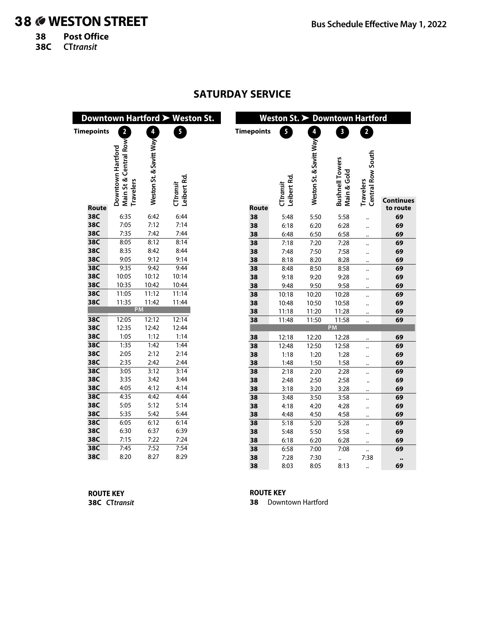# 38 **WESTON STREET**

**38 Post Office**

**38C CTtransit**

|                   |                                  |                         | Downtown Hartford > Weston St. |                   | Weston St. > Downtown Hartford |                         |                                       |                      |                  |
|-------------------|----------------------------------|-------------------------|--------------------------------|-------------------|--------------------------------|-------------------------|---------------------------------------|----------------------|------------------|
| <b>Timepoints</b> | $\overline{2}$                   | À                       | 5 <sup>1</sup>                 | <b>Timepoints</b> | 5 <sup>1</sup>                 | $\overline{4}$          | $\overline{\mathbf{3}}$               | $\overline{2}$       |                  |
|                   | Central Row<br>Downtown Hartford | Weston St. & Savitt Way |                                |                   |                                | Weston St. & Savitt Way |                                       | Central Row South    |                  |
|                   | Main St &<br><b>Travelers</b>    |                         | Leibert Rd.<br>CTtransit       |                   | Leibert Rd.<br>CTtransit       |                         | <b>Bushnell Towers</b><br>Main & Gold | Travelers            | <b>Continues</b> |
| Route             |                                  |                         |                                | <b>Route</b>      |                                |                         |                                       |                      | to route         |
| 38C               | 6:35                             | 6:42                    | 6:44                           | 38                | 5:48                           | 5:50                    | 5:58                                  | $\ddot{\phantom{a}}$ | 69               |
| 38C               | 7:05                             | 7:12                    | 7:14                           | 38                | 6:18                           | 6:20                    | 6:28                                  |                      | 69               |
| 38C               | 7:35                             | 7:42                    | 7:44                           | 38                | 6:48                           | 6:50                    | 6:58                                  | $\ddotsc$            | 69               |
| 38C               | 8:05                             | 8:12                    | 8:14                           | 38                | 7:18                           | 7:20                    | 7:28                                  |                      | 69               |
| 38C               | 8:35                             | 8:42                    | 8:44                           | 38                | 7:48                           | 7:50                    | 7:58                                  | $\ddot{\phantom{a}}$ | 69               |
| 38C               | 9:05                             | 9:12                    | 9:14                           | 38                | 8:18                           | 8:20                    | 8:28                                  |                      | 69               |
| 38C               | 9:35                             | 9:42                    | 9:44                           | 38                | 8:48                           | 8:50                    | 8:58                                  |                      | 69               |
| 38C               | 10:05                            | 10:12                   | 10:14                          | 38                | 9:18                           | 9:20                    | 9:28                                  | $\ddotsc$            | 69               |
| 38C               | 10:35                            | 10:42                   | 10:44                          | 38                | 9:48                           | 9:50                    | 9:58                                  | $\ddot{\phantom{a}}$ | 69               |
| 38C               | 11:05                            | 11:12                   | 11:14                          | 38                | 10:18                          | 10:20                   | 10:28                                 | $\ddot{\phantom{a}}$ | 69               |
| 38C               | 11:35<br><b>PM</b>               | 11:42                   | 11:44                          | 38                | 10:48                          | 10:50                   | 10:58                                 |                      | 69               |
|                   |                                  |                         |                                | 38                | 11:18                          | 11:20                   | 11:28                                 | $\ddot{\phantom{a}}$ | 69               |
| 38C               | 12:05                            | 12:12                   | 12:14                          | 38                | 11:48                          | 11:50                   | 11:58<br><b>PM</b>                    | $\ddot{\phantom{a}}$ | 69               |
| 38C               | 12:35                            | 12:42                   | 12:44                          |                   |                                |                         |                                       |                      |                  |
| 38C               | 1:05                             | 1:12                    | 1:14                           | 38                | 12:18                          | 12:20                   | 12:28                                 |                      | 69               |
| 38C<br>38C        | 1:35                             | 1:42                    | 1:44                           | 38                | 12:48                          | 12:50                   | 12:58                                 |                      | 69               |
| 38C               | 2:05<br>2:35                     | 2:12<br>2:42            | 2:14                           | 38                | 1:18                           | 1:20                    | 1:28                                  |                      | 69               |
| 38C               |                                  |                         | 2:44<br>3:14                   | 38                | 1:48                           | 1:50                    | 1:58                                  | $\ddotsc$            | 69               |
| 38C               | 3:05<br>3:35                     | 3:12<br>3:42            | 3:44                           | 38<br>38          | 2:18<br>2:48                   | 2:20                    | 2:28<br>2:58                          | $\ddot{\phantom{a}}$ | 69               |
| 38C               | 4:05                             | 4:12                    | 4:14                           |                   |                                | 2:50                    |                                       | $\ddot{\phantom{a}}$ | 69               |
| 38C               | 4:35                             | 4:42                    | 4:44                           | 38<br>38          | 3:18<br>3:48                   | 3:20<br>3:50            | 3:28<br>3:58                          |                      | 69<br>69         |
| 38C               | 5:05                             | 5:12                    | 5:14                           |                   |                                |                         |                                       |                      |                  |
| 38C               | 5:35                             | 5:42                    | 5:44                           | 38<br>38          | 4:18<br>4:48                   | 4:20<br>4:50            | 4:28<br>4:58                          | $\ddot{\phantom{a}}$ | 69<br>69         |
| 38C               | 6:05                             | 6:12                    | 6:14                           | 38                | 5:18                           | 5:20                    | 5:28                                  | $\ddot{\phantom{a}}$ | 69               |
| 38C               | 6:30                             | 6:37                    | 6:39                           | 38                | 5:48                           | 5:50                    | 5:58                                  |                      | 69               |
| 38C               | 7:15                             | 7:22                    | 7:24                           | 38                | 6:18                           | 6:20                    | 6:28                                  |                      | 69               |
| 38C               | 7:45                             | 7:52                    | 7:54                           | 38                | 6:58                           | 7:00                    | 7:08                                  | <br>                 | 69               |
| 38C               | 8:20                             | 8:27                    | 8:29                           | 38                | 7:28                           | 7:30                    |                                       | 7:38                 |                  |
|                   |                                  |                         |                                | 38                | 8:03                           | 8:05                    | 8:13                                  |                      | <br>69           |
|                   |                                  |                         |                                |                   |                                |                         |                                       |                      |                  |

**ROUTE KEY 38C CTtransit** **ROUTE KEY**

**38** Downtown Hartford